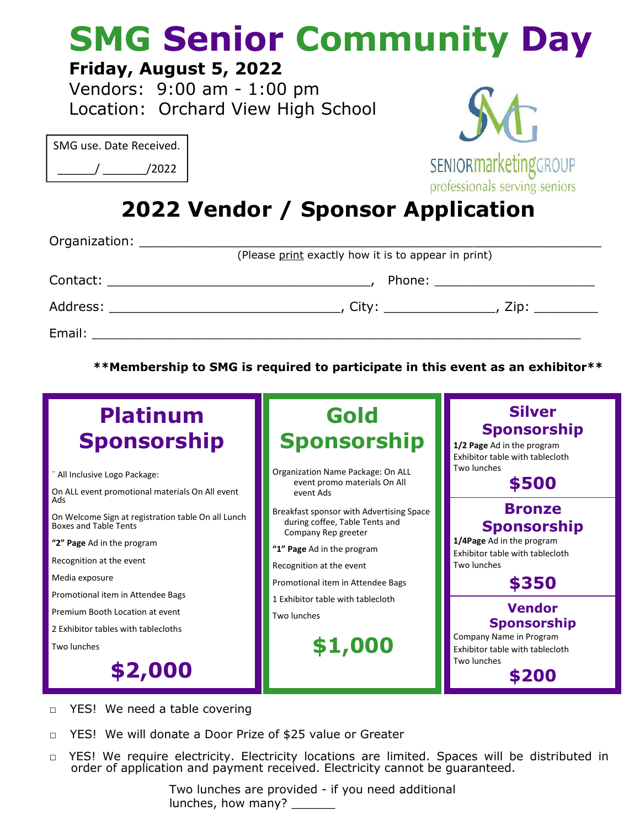## **SMG Senior Community Day**

## **Friday, August 5, 2022**

Vendors: 9:00 am - 1:00 pm Location: Orchard View High School

| SMG use. Date Received. |       |
|-------------------------|-------|
|                         | /2022 |



professionals serving seniors

**2022 Vendor / Sponsor Application**

|                                                                                                                 | (Please print exactly how it is to appear in print) |                            |
|-----------------------------------------------------------------------------------------------------------------|-----------------------------------------------------|----------------------------|
|                                                                                                                 |                                                     | Phone: ___________________ |
|                                                                                                                 | City: ________________                              | , Zip: ________            |
| Email: Email: All and the state of the state of the state of the state of the state of the state of the state o |                                                     |                            |

**\*\*Membership to SMG is required to participate in this event as an exhibitor\*\***



- □ YES! We need a table covering
- □ YES! We will donate a Door Prize of \$25 value or Greater
- □ YES! We require electricity. Electricity locations are limited. Spaces will be distributed in order of application and payment received. Electricity cannot be guaranteed.

Two lunches are provided - if you need additional lunches, how many? \_\_\_\_\_\_\_